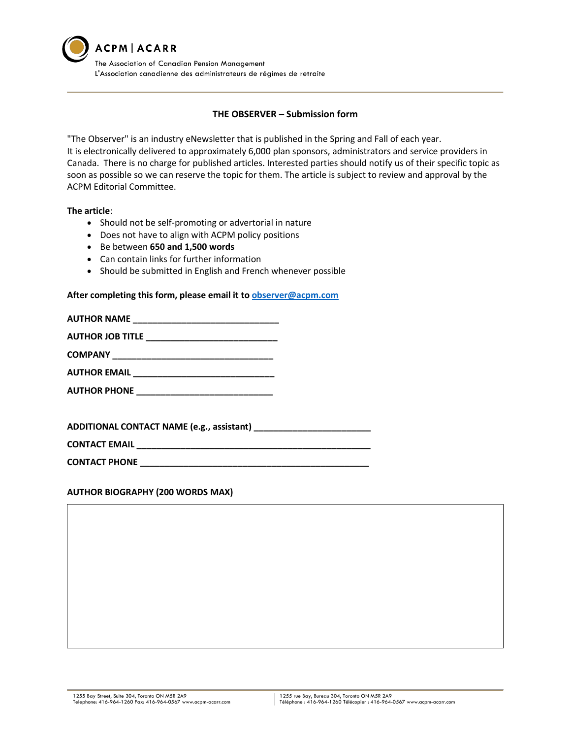

### **THE OBSERVER – Submission form**

"The Observer" is an industry eNewsletter that is published in the Spring and Fall of each year. It is electronically delivered to approximately 6,000 plan sponsors, administrators and service providers in Canada. There is no charge for published articles. Interested parties should notify us of their specific topic as soon as possible so we can reserve the topic for them. The article is subject to review and approval by the ACPM Editorial Committee.

# **The article**:

- Should not be self-promoting or advertorial in nature
- Does not have to align with ACPM policy positions
- Be between **650 and 1,500 words**
- Can contain links for further information
- Should be submitted in English and French whenever possible

#### **After completing this form, please email it to [observer@acpm.com](mailto:observer@acpm.com)**

| <b>AUTHOR NAME</b>                                 |  |
|----------------------------------------------------|--|
| AUTHOR JOB TITLE _____________________________     |  |
|                                                    |  |
|                                                    |  |
| <b>AUTHOR PHONE ______________________________</b> |  |
|                                                    |  |

**ADDITIONAL CONTACT NAME (e.g., assistant) \_\_\_\_\_\_\_\_\_\_\_\_\_\_\_\_\_\_\_\_\_\_\_\_**

**CONTACT EMAIL \_\_\_\_\_\_\_\_\_\_\_\_\_\_\_\_\_\_\_\_\_\_\_\_\_\_\_\_\_\_\_\_\_\_\_\_\_\_\_\_\_\_\_\_\_\_\_\_**

**CONTACT PHONE \_\_\_\_\_\_\_\_\_\_\_\_\_\_\_\_\_\_\_\_\_\_\_\_\_\_\_\_\_\_\_\_\_\_\_\_\_\_\_\_\_\_\_\_\_\_\_**

#### **AUTHOR BIOGRAPHY (200 WORDS MAX)**